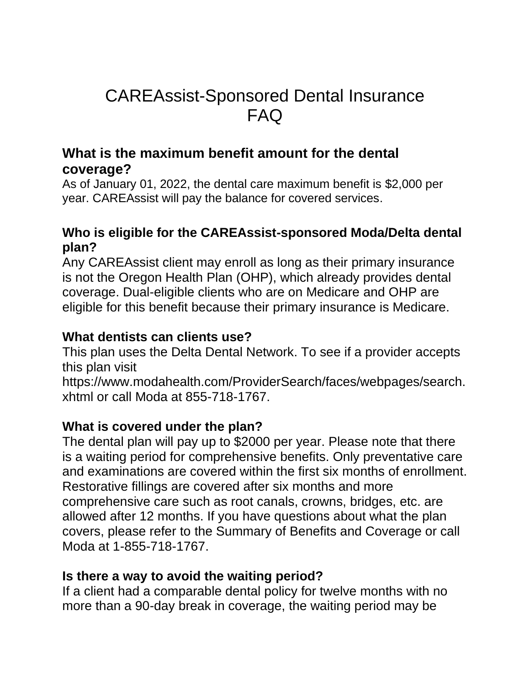# CAREAssist-Sponsored Dental Insurance FAQ

# **What is the maximum benefit amount for the dental coverage?**

As of January 01, 2022, the dental care maximum benefit is \$2,000 per year. CAREAssist will pay the balance for covered services.

# **Who is eligible for the CAREAssist-sponsored Moda/Delta dental plan?**

Any CAREAssist client may enroll as long as their primary insurance is not the Oregon Health Plan (OHP), which already provides dental coverage. Dual-eligible clients who are on Medicare and OHP are eligible for this benefit because their primary insurance is Medicare.

# **What dentists can clients use?**

This plan uses the Delta Dental Network. To see if a provider accepts this plan visit

https://www.modahealth.com/ProviderSearch/faces/webpages/search. xhtml or call Moda at 855-718-1767.

## **What is covered under the plan?**

The dental plan will pay up to \$2000 per year. Please note that there is a waiting period for comprehensive benefits. Only preventative care and examinations are covered within the first six months of enrollment. Restorative fillings are covered after six months and more comprehensive care such as root canals, crowns, bridges, etc. are allowed after 12 months. If you have questions about what the plan covers, please refer to the Summary of Benefits and Coverage or call Moda at 1-855-718-1767.

## **Is there a way to avoid the waiting period?**

If a client had a comparable dental policy for twelve months with no more than a 90-day break in coverage, the waiting period may be